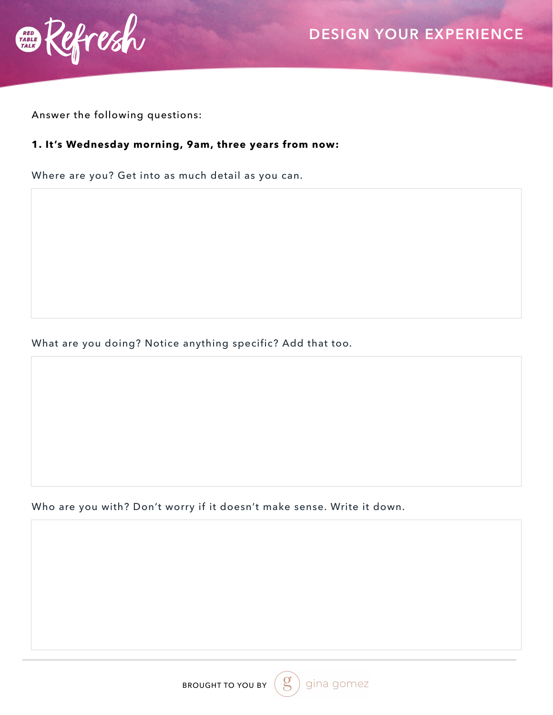

Answer the following questions:

#### **1. It's Wednesday morning, 9am, three years from now:**

Where are you? Get into as much detail as you can.

What are you doing? Notice anything specific? Add that too.

Who are you with? Don't worry if it doesn't make sense. Write it down.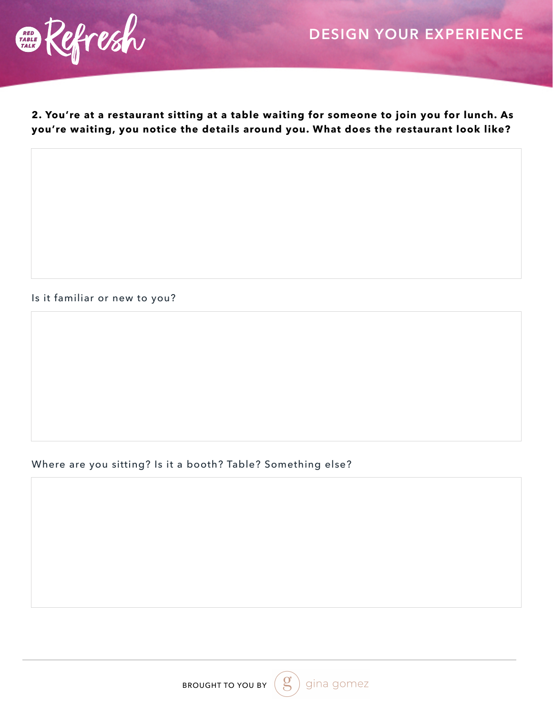

**2. You're at a restaurant sitting at a table waiting for someone to join you for lunch. As you're waiting, you notice the details around you. What does the restaurant look like?**

Is it familiar or new to you?

## Where are you sitting? Is it a booth? Table? Something else?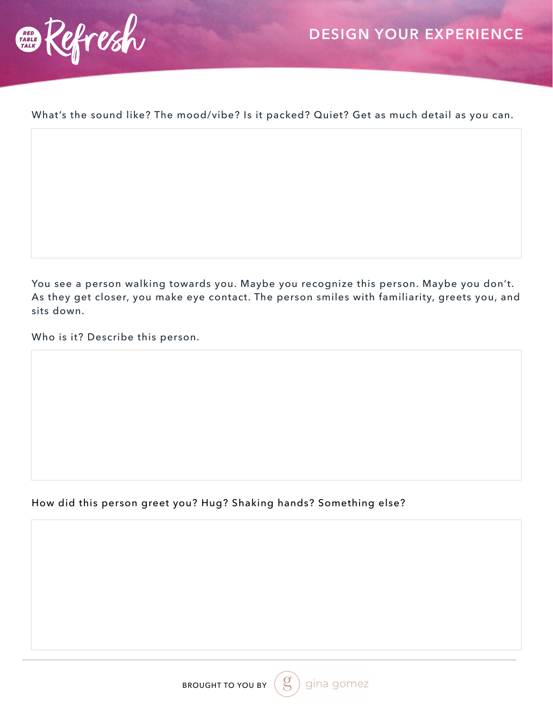



What's the sound like? The mood/vibe? Is it packed? Quiet? Get as much detail as you can.

You see a person walking towards you. Maybe you recognize this person. Maybe you don't. As they get closer, you make eye contact. The person smiles with familiarity, greets you, and sits down.

Who is it? Describe this person.

## How did this person greet you? Hug? Shaking hands? Something else?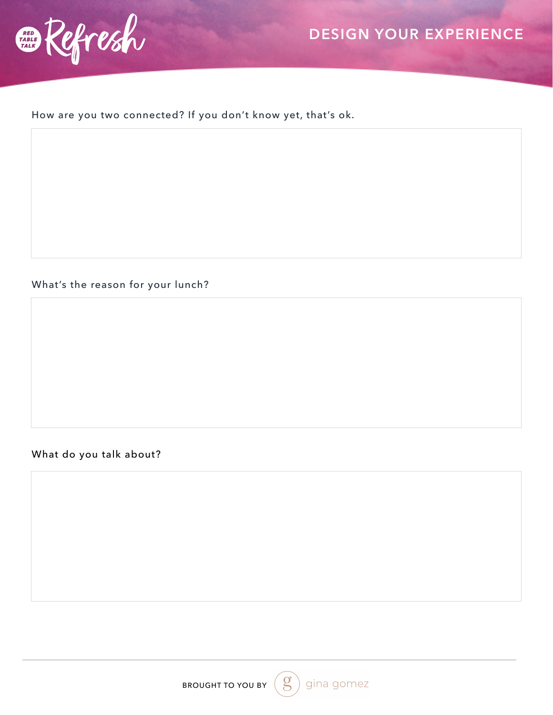

# **DESIGN YOUR EXPERIENCE**

How are you two connected? If you don't know yet, that's ok.

### What's the reason for your lunch?

## What do you talk about?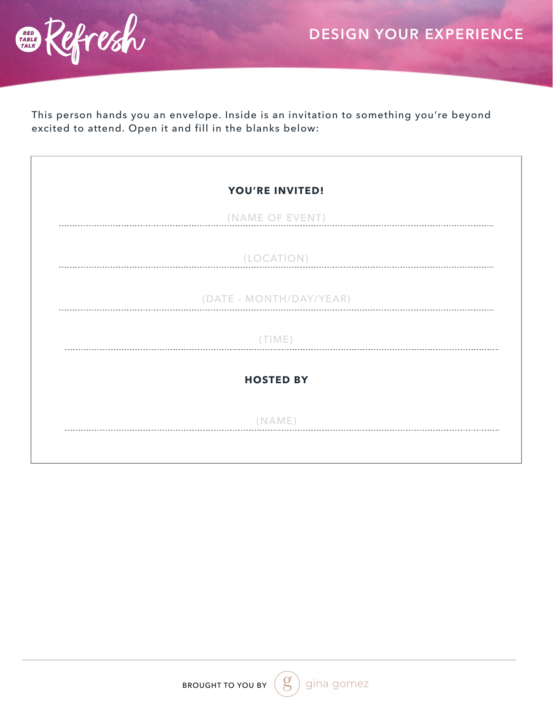



This person hands you an envelope. Inside is an invitation to something you're beyond excited to attend. Open it and fill in the blanks below:

| YOU'RE INVITED!         |  |
|-------------------------|--|
| (NAME OF EVENT)         |  |
| (LOCATION)              |  |
| (DATE - MONTH/DAY/YEAR) |  |
| (TIME)                  |  |
| <b>HOSTED BY</b>        |  |
| (NAME)                  |  |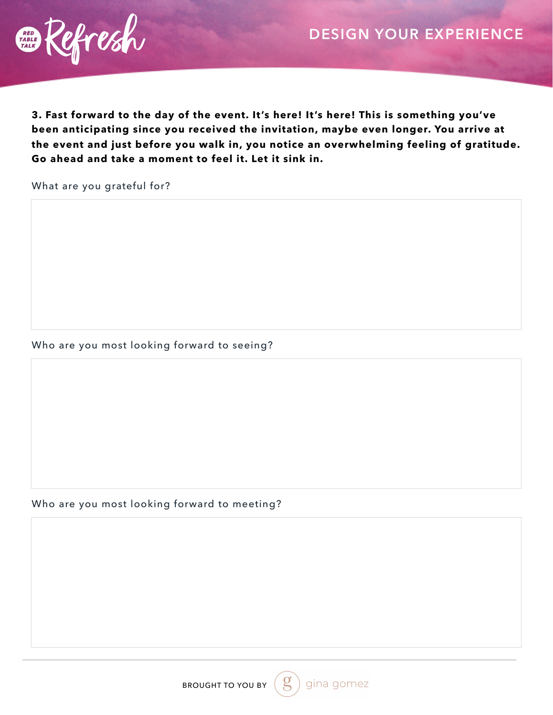

**3. Fast forward to the day of the event. It's here! It's here! This is something you've been anticipating since you received the invitation, maybe even longer. You arrive at the event and just before you walk in, you notice an overwhelming feeling of gratitude. Go ahead and take a moment to feel it. Let it sink in.**

What are you grateful for?

#### Who are you most looking forward to seeing?

#### Who are you most looking forward to meeting?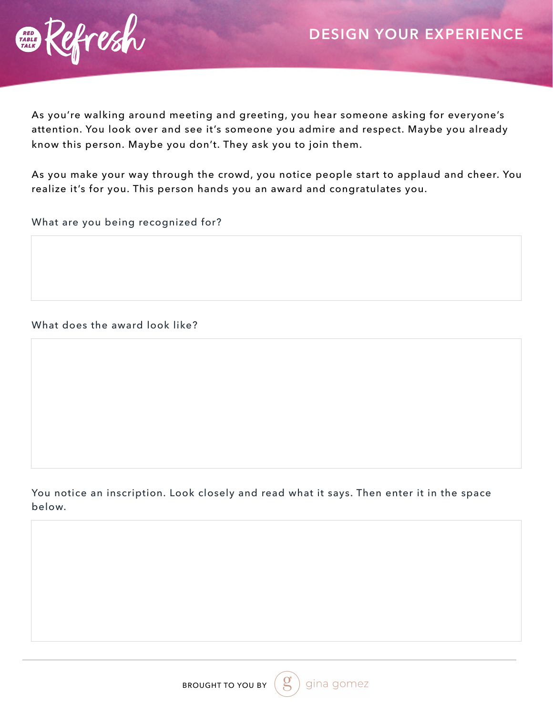

As you're walking around meeting and greeting, you hear someone asking for everyone's attention. You look over and see it's someone you admire and respect. Maybe you already know this person. Maybe you don't. They ask you to join them.

As you make your way through the crowd, you notice people start to applaud and cheer. You realize it's for you. This person hands you an award and congratulates you.

What are you being recognized for?

What does the award look like?

### You notice an inscription. Look closely and read what it says. Then enter it in the space below.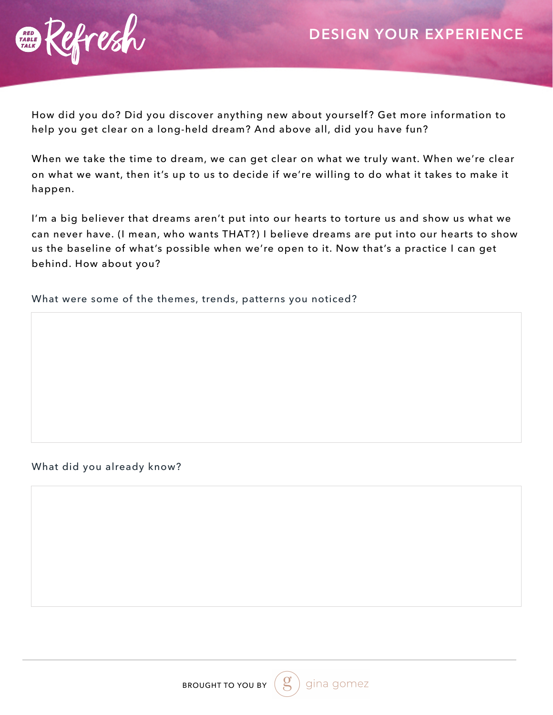

How did you do? Did you discover anything new about yourself? Get more information to help you get clear on a long-held dream? And above all, did you have fun?

When we take the time to dream, we can get clear on what we truly want. When we're clear on what we want, then it's up to us to decide if we're willing to do what it takes to make it happen.

I'm a big believer that dreams aren't put into our hearts to torture us and show us what we can never have. (I mean, who wants THAT?) I believe dreams are put into our hearts to show us the baseline of what's possible when we're open to it. Now that's a practice I can get behind. How about you?

What were some of the themes, trends, patterns you noticed?

#### What did you already know?